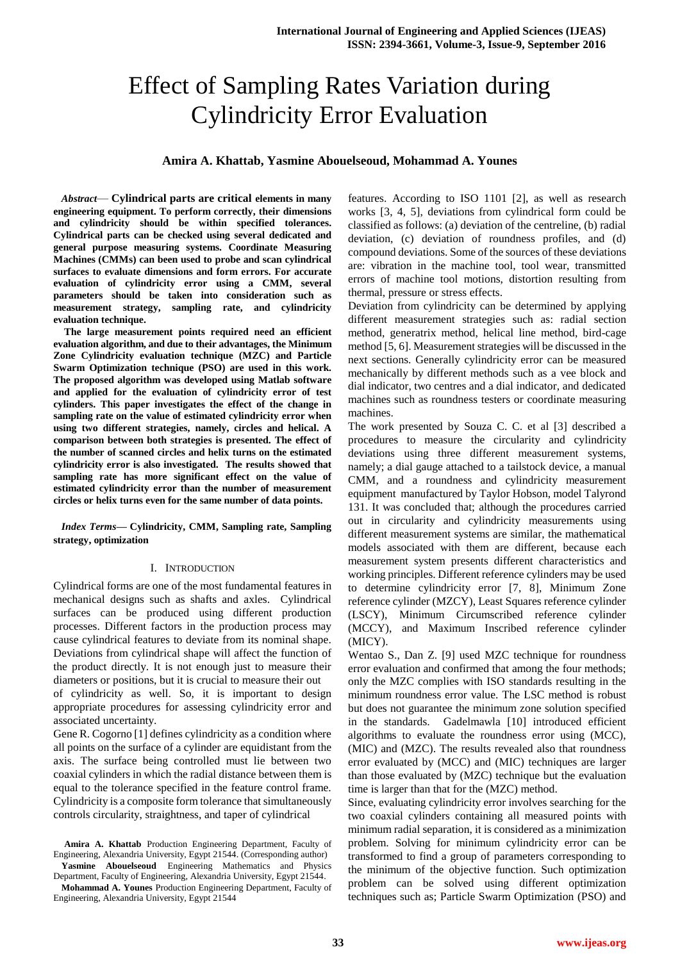# Effect of Sampling Rates Variation during Cylindricity Error Evaluation

## **Amira A. Khattab, Yasmine Abouelseoud, Mohammad A. Younes**

*Abstract*— **Cylindrical parts are critical elements in many engineering equipment. To perform correctly, their dimensions and cylindricity should be within specified tolerances. Cylindrical parts can be checked using several dedicated and general purpose measuring systems. Coordinate Measuring Machines (CMMs) can been used to probe and scan cylindrical surfaces to evaluate dimensions and form errors. For accurate evaluation of cylindricity error using a CMM, several parameters should be taken into consideration such as measurement strategy, sampling rate, and cylindricity evaluation technique.**

**The large measurement points required need an efficient evaluation algorithm, and due to their advantages, the Minimum Zone Cylindricity evaluation technique (MZC) and Particle Swarm Optimization technique (PSO) are used in this work. The proposed algorithm was developed using Matlab software and applied for the evaluation of cylindricity error of test cylinders. This paper investigates the effect of the change in sampling rate on the value of estimated cylindricity error when using two different strategies, namely, circles and helical. A comparison between both strategies is presented. The effect of the number of scanned circles and helix turns on the estimated cylindricity error is also investigated. The results showed that sampling rate has more significant effect on the value of estimated cylindricity error than the number of measurement circles or helix turns even for the same number of data points.**

*Index Terms—* **Cylindricity, CMM, Sampling rate, Sampling strategy, optimization**

### I. INTRODUCTION

Cylindrical forms are one of the most fundamental features in mechanical designs such as shafts and axles. Cylindrical surfaces can be produced using different production processes. Different factors in the production process may cause cylindrical features to deviate from its nominal shape. Deviations from cylindrical shape will affect the function of the product directly. It is not enough just to measure their diameters or positions, but it is crucial to measure their out

of cylindricity as well. So, it is important to design appropriate procedures for assessing cylindricity error and associated uncertainty.

Gene R. Cogorno [1] defines cylindricity as a condition where all points on the surface of a cylinder are equidistant from the axis. The surface being controlled must lie between two coaxial cylinders in which the radial distance between them is equal to the tolerance specified in the feature control frame. Cylindricity is a composite form tolerance that simultaneously controls circularity, straightness, and taper of cylindrical

**Amira A. Khattab** Production Engineering Department, Faculty of Engineering, Alexandria University, Egypt 21544. (Corresponding author) **Yasmine Abouelseoud** Engineering Mathematics and Physics

Department, Faculty of Engineering, Alexandria University, Egypt 21544.

features. According to ISO 1101 [2], as well as research works [3, 4, 5], deviations from cylindrical form could be classified as follows: (a) deviation of the centreline, (b) radial deviation, (c) deviation of roundness profiles, and (d) compound deviations. Some of the sources of these deviations are: vibration in the machine tool, tool wear, transmitted errors of machine tool motions, distortion resulting from thermal, pressure or stress effects.

Deviation from cylindricity can be determined by applying different measurement strategies such as: radial section method, generatrix method, helical line method, bird-cage method [5, 6]. Measurement strategies will be discussed in the next sections. Generally cylindricity error can be measured mechanically by different methods such as a vee block and dial indicator, two centres and a dial indicator, and dedicated machines such as roundness testers or coordinate measuring machines.

The work presented by Souza C. C. et al [3] described a procedures to measure the circularity and cylindricity deviations using three different measurement systems, namely; a dial gauge attached to a tailstock device, a manual CMM, and a roundness and cylindricity measurement equipment manufactured by Taylor Hobson, model Talyrond 131. It was concluded that; although the procedures carried out in circularity and cylindricity measurements using different measurement systems are similar, the mathematical models associated with them are different, because each measurement system presents different characteristics and working principles. Different reference cylinders may be used to determine cylindricity error [7, 8], Minimum Zone reference cylinder (MZCY), Least Squares reference cylinder (LSCY), Minimum Circumscribed reference cylinder (MCCY), and Maximum Inscribed reference cylinder (MICY).

Wentao S., Dan Z. [9] used MZC technique for roundness error evaluation and confirmed that among the four methods; only the MZC complies with ISO standards resulting in the minimum roundness error value. The LSC method is robust but does not guarantee the minimum zone solution specified in the standards. Gadelmawla [10] introduced efficient algorithms to evaluate the roundness error using (MCC), (MIC) and (MZC). The results revealed also that roundness error evaluated by (MCC) and (MIC) techniques are larger than those evaluated by (MZC) technique but the evaluation time is larger than that for the (MZC) method.

Since, evaluating cylindricity error involves searching for the two coaxial cylinders containing all measured points with minimum radial separation, it is considered as a minimization problem. Solving for minimum cylindricity error can be transformed to find a group of parameters corresponding to the minimum of the objective function. Such optimization problem can be solved using different optimization techniques such as; Particle Swarm Optimization (PSO) and

**Mohammad A. Younes** Production Engineering Department, Faculty of Engineering, Alexandria University, Egypt 21544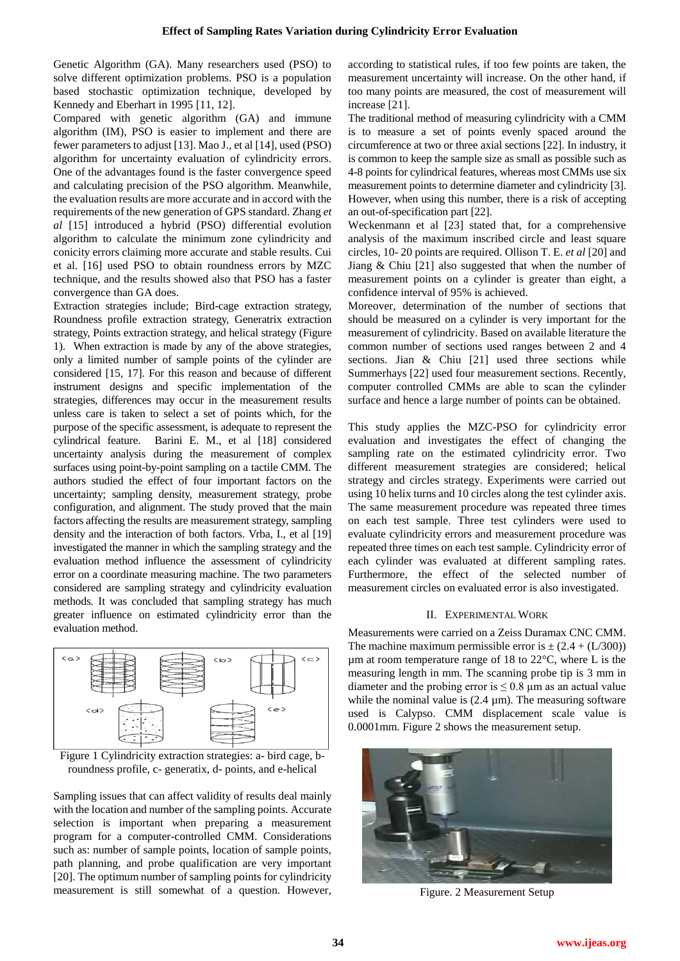Genetic Algorithm (GA). Many researchers used (PSO) to solve different optimization problems. PSO is a population based stochastic optimization technique, developed by Kennedy and Eberhart in 1995 [11, 12].

Compared with genetic algorithm (GA) and immune algorithm (IM), PSO is easier to implement and there are fewer parameters to adjust [13]. Mao J., et al [14], used (PSO) algorithm for uncertainty evaluation of cylindricity errors. One of the advantages found is the faster convergence speed and calculating precision of the PSO algorithm. Meanwhile, the evaluation results are more accurate and in accord with the requirements of the new generation of GPS standard. Zhang *et al* [15] introduced a hybrid (PSO) differential evolution algorithm to calculate the minimum zone cylindricity and conicity errors claiming more accurate and stable results. Cui et al. [16] used PSO to obtain roundness errors by MZC technique, and the results showed also that PSO has a faster convergence than GA does.

Extraction strategies include; Bird-cage extraction strategy, Roundness profile extraction strategy, Generatrix extraction strategy, Points extraction strategy, and helical strategy (Figure 1). When extraction is made by any of the above strategies, only a limited number of sample points of the cylinder are considered [15, 17]. For this reason and because of different instrument designs and specific implementation of the strategies, differences may occur in the measurement results unless care is taken to select a set of points which, for the purpose of the specific assessment, is adequate to represent the cylindrical feature. Barini E. M., et al [18] considered uncertainty analysis during the measurement of complex surfaces using point-by-point sampling on a tactile CMM. The authors studied the effect of four important factors on the uncertainty; sampling density, measurement strategy, probe configuration, and alignment. The study proved that the main factors affecting the results are measurement strategy, sampling density and the interaction of both factors. Vrba, I., et al [19] investigated the manner in which the sampling strategy and the evaluation method influence the assessment of cylindricity error on a coordinate measuring machine. The two parameters considered are sampling strategy and cylindricity evaluation methods. It was concluded that sampling strategy has much greater influence on estimated cylindricity error than the evaluation method.





Sampling issues that can affect validity of results deal mainly with the location and number of the sampling points. Accurate selection is important when preparing a measurement program for a computer-controlled CMM. Considerations such as: number of sample points, location of sample points, path planning, and probe qualification are very important [20]. The optimum number of sampling points for cylindricity measurement is still somewhat of a question. However, according to statistical rules, if too few points are taken, the measurement uncertainty will increase. On the other hand, if too many points are measured, the cost of measurement will increase [21].

The traditional method of measuring cylindricity with a CMM is to measure a set of points evenly spaced around the circumference at two or three axial sections [22]. In industry, it is common to keep the sample size as small as possible such as 4-8 points for cylindrical features, whereas most CMMs use six measurement points to determine diameter and cylindricity [3]. However, when using this number, there is a risk of accepting an out-of-specification part [22].

Weckenmann et al [23] stated that, for a comprehensive analysis of the maximum inscribed circle and least square circles, 10- 20 points are required. Ollison T. E. *et al* [20] and Jiang & Chiu [21] also suggested that when the number of measurement points on a cylinder is greater than eight, a confidence interval of 95% is achieved.

Moreover, determination of the number of sections that should be measured on a cylinder is very important for the measurement of cylindricity. Based on available literature the common number of sections used ranges between 2 and 4 sections. Jian & Chiu [21] used three sections while Summerhays [22] used four measurement sections. Recently, computer controlled CMMs are able to scan the cylinder surface and hence a large number of points can be obtained.

This study applies the MZC-PSO for cylindricity error evaluation and investigates the effect of changing the sampling rate on the estimated cylindricity error. Two different measurement strategies are considered; helical strategy and circles strategy. Experiments were carried out using 10 helix turns and 10 circles along the test cylinder axis. The same measurement procedure was repeated three times on each test sample. Three test cylinders were used to evaluate cylindricity errors and measurement procedure was repeated three times on each test sample. Cylindricity error of each cylinder was evaluated at different sampling rates. Furthermore, the effect of the selected number of measurement circles on evaluated error is also investigated.

## II. EXPERIMENTAL WORK

Measurements were carried on a Zeiss Duramax CNC CMM. The machine maximum permissible error is  $\pm (2.4 + (L/300))$  $\mu$ m at room temperature range of 18 to 22 $\degree$ C, where L is the measuring length in mm. The scanning probe tip is 3 mm in diameter and the probing error is  $\leq 0.8$  µm as an actual value while the nominal value is  $(2.4 \mu m)$ . The measuring software used is Calypso. CMM displacement scale value is 0.0001mm. Figure 2 shows the measurement setup.



Figure. 2 Measurement Setup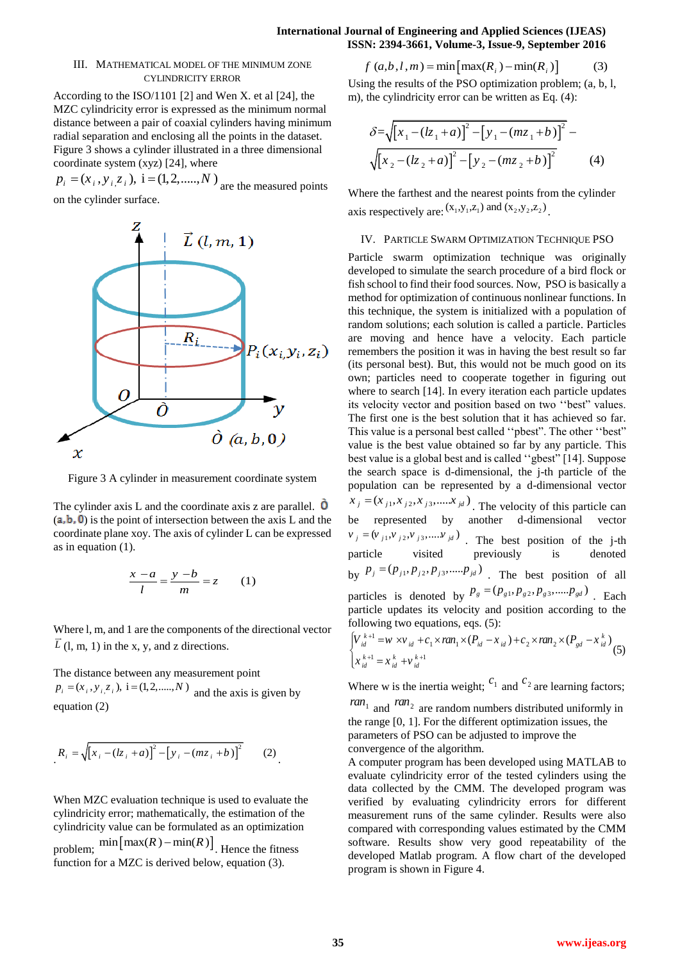# **International Journal of Engineering and Applied Sciences (IJEAS) ISSN: 2394-3661, Volume-3, Issue-9, September 2016**<br>  $f (a,b,l,m) = \min \left[ \max(R_i) - \min(R_i) \right]$  (3)

## III. MATHEMATICAL MODEL OF THE MINIMUM ZONE CYLINDRICITY ERROR

According to the ISO/1101 [2] and Wen X. et al [24], the MZC cylindricity error is expressed as the minimum normal distance between a pair of coaxial cylinders having minimum radial separation and enclosing all the points in the dataset. Figure 3 shows a cylinder illustrated in a three dimensional coordinate system (xyz) [24], where

coordinate system (xyz) [24], where<br>  $p_i = (x_i, y_i, z_i)$ ,  $i = (1, 2, \dots, N)$  are the measured points on the cylinder surface.



Figure 3 A cylinder in measurement coordinate system

The cylinder axis L and the coordinate axis z are parallel.  $\dot{O}$  $(a, b, 0)$  is the point of intersection between the axis L and the coordinate plane xoy. The axis of cylinder L can be expressed as in equation (1).

$$
\frac{x-a}{l} = \frac{y-b}{m} = z \qquad (1)
$$

Where l, m, and 1 are the components of the directional vector  $L$  (1, m, 1) in the x, y, and z directions.

The distance between any measurement point The distance between any measurement point<br> $p_i = (x_i, y_i, z_i)$ ,  $i = (1, 2, \dots, N)$  and the axis is given by equation (2)

$$
R_i = \sqrt{[x_i - (lz_i + a)]^2 - [y_i - (mz_i + b)]^2}
$$
 (2)

When MZC evaluation technique is used to evaluate the cylindricity error; mathematically, the estimation of the cylindricity value can be formulated as an optimization problem;  $\min \left[ \max(R) - \min(R) \right]$ . Hence the fitness function for a MZC is derived below, equation (3).

Using the results of the PSO optimization problem; (a, b, l, m), the cylindricity error can be written as Eq. (4):

$$
\delta = \sqrt{\left[x_1 - (lz_1 + a)\right]^2 - \left[y_1 - (mz_1 + b)\right]^2} - \sqrt{\left[x_2 - (lz_2 + a)\right]^2 - \left[y_2 - (mz_2 + b)\right]^2}
$$
(4)

Where the farthest and the nearest points from the cylinder where the radiust and the neurost points itself<br>axis respectively are:  $(x_1, y_1, z_1)$  and  $(x_2, y_2, z_2)$ .

### IV. PARTICLE SWARM OPTIMIZATION TECHNIQUE PSO

Particle swarm optimization technique was originally developed to simulate the search procedure of a bird flock or fish school to find their food sources. Now, PSO is basically a method for optimization of continuous nonlinear functions. In this technique, the system is initialized with a population of random solutions; each solution is called a particle. Particles are moving and hence have a velocity. Each particle remembers the position it was in having the best result so far (its personal best). But, this would not be much good on its own; particles need to cooperate together in figuring out where to search [14]. In every iteration each particle updates its velocity vector and position based on two "best" values. The first one is the best solution that it has achieved so far. This value is a personal best called "pbest". The other "best" value is the best value obtained so far by any particle. This best value is a global best and is called "gbest" [14]. Suppose the search space is d-dimensional, the j-th particle of the population can be represented by a d-dimensional vector be represented by a d-dimensional vector<br> $x_j = (x_{j1}, x_{j2}, x_{j3}, \dots, x_{jd})$ . The velocity of this particle can be represented by another d-dimensional vector  $v_j = (v_{j1}, v_{j2}, v_{j3}, \dots, v_{jd})$ . The best position of the j-th particle visited previously is denoted by  $p_j = (p_{j1}, p_{j2}, p_{j3}, \dots, p_{jd})$ . The best position of all particles is denoted by  $P_g = (p_{g1}, p_{g2}, p_{g3}, \dots, p_{gd})$ . Each particle updates its velocity and position according to the following two equations, eqs. (5):<br>  $\int V_{id}^{k+1} = w \times v_{id} + c_1 \times ran_1 \times (P_{id} - x_{id}) + c_2 \times ran_2 \times (P_{gd} - x_{id}^k)$  (5) following two equations, eqs. (5):<br> $[V_{i+1}^{k+1} = w \times v_{i+1} + c, \times ran \times (P_{i-1} - x_{i+1}) + c, \times ran \times (P_{i-1} - x_{i+1})]$ 

$$
\begin{cases}\nV_{id}^{k+1} = w \times v_{id} + c_1 \times ran_1 \times (P_{id} - x_{id}) + c_2 \times ran_2 \times (P_{gd} - x_{id}^k) \\
x_{id}^{k+1} = x_{id}^k + v_{id}^{k+1}\n\end{cases} (5)
$$

Where w is the inertia weight;  $c_1$  and  $c_2$  are learning factors;  $ran_1$  and  $ran_2$  are random numbers distributed uniformly in

the range [0, 1]. For the different optimization issues, the parameters of PSO can be adjusted to improve the convergence of the algorithm.

A computer program has been developed using MATLAB to evaluate cylindricity error of the tested cylinders using the data collected by the CMM. The developed program was verified by evaluating cylindricity errors for different measurement runs of the same cylinder. Results were also compared with corresponding values estimated by the CMM software. Results show very good repeatability of the developed Matlab program. A flow chart of the developed program is shown in Figure 4.

.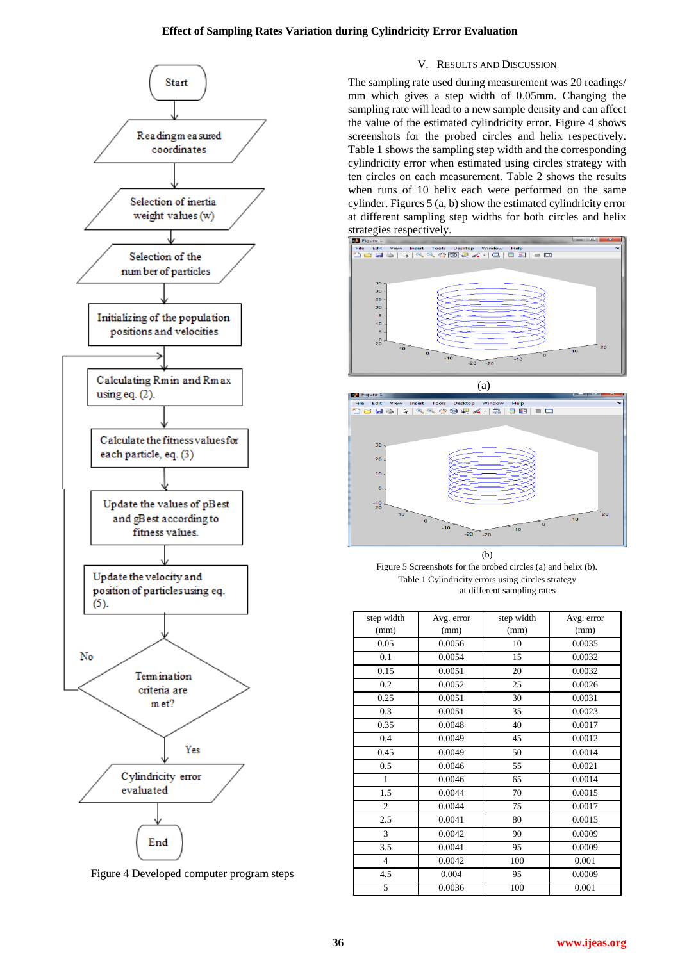

Figure 4 Developed computer program steps

## V. RESULTS AND DISCUSSION

The sampling rate used during measurement was 20 readings/ mm which gives a step width of 0.05mm. Changing the sampling rate will lead to a new sample density and can affect the value of the estimated cylindricity error. Figure 4 shows screenshots for the probed circles and helix respectively. Table 1 shows the sampling step width and the corresponding cylindricity error when estimated using circles strategy with ten circles on each measurement. Table 2 shows the results when runs of 10 helix each were performed on the same cylinder. Figures 5 (a, b) show the estimated cylindricity error at different sampling step widths for both circles and helix strategies respectively.





Figure 5 Screenshots for the probed circles (a) and helix (b). Table 1 Cylindricity errors using circles strategy at different sampling rates

| step width     | Avg. error | step width | Avg. error |
|----------------|------------|------------|------------|
| (mm)           | (mm)       | (mm)       | (mm)       |
| 0.05           | 0.0056     | 10         | 0.0035     |
| 0.1            | 0.0054     | 15         | 0.0032     |
| 0.15           | 0.0051     | 20         | 0.0032     |
| 0.2            | 0.0052     | 25         | 0.0026     |
| 0.25           | 0.0051     | 30         | 0.0031     |
| 0.3            | 0.0051     | 35         | 0.0023     |
| 0.35           | 0.0048     | 40         | 0.0017     |
| 0.4            | 0.0049     | 45         | 0.0012     |
| 0.45           | 0.0049     | 50         | 0.0014     |
| 0.5            | 0.0046     | 55         | 0.0021     |
| $\mathbf{1}$   | 0.0046     | 65         | 0.0014     |
| 1.5            | 0.0044     | 70         | 0.0015     |
| $\overline{c}$ | 0.0044     | 75         | 0.0017     |
| 2.5            | 0.0041     | 80         | 0.0015     |
| 3              | 0.0042     | 90         | 0.0009     |
| 3.5            | 0.0041     | 95         | 0.0009     |
| $\overline{4}$ | 0.0042     | 100        | 0.001      |
| 4.5            | 0.004      | 95         | 0.0009     |
| 5              | 0.0036     | 100        | 0.001      |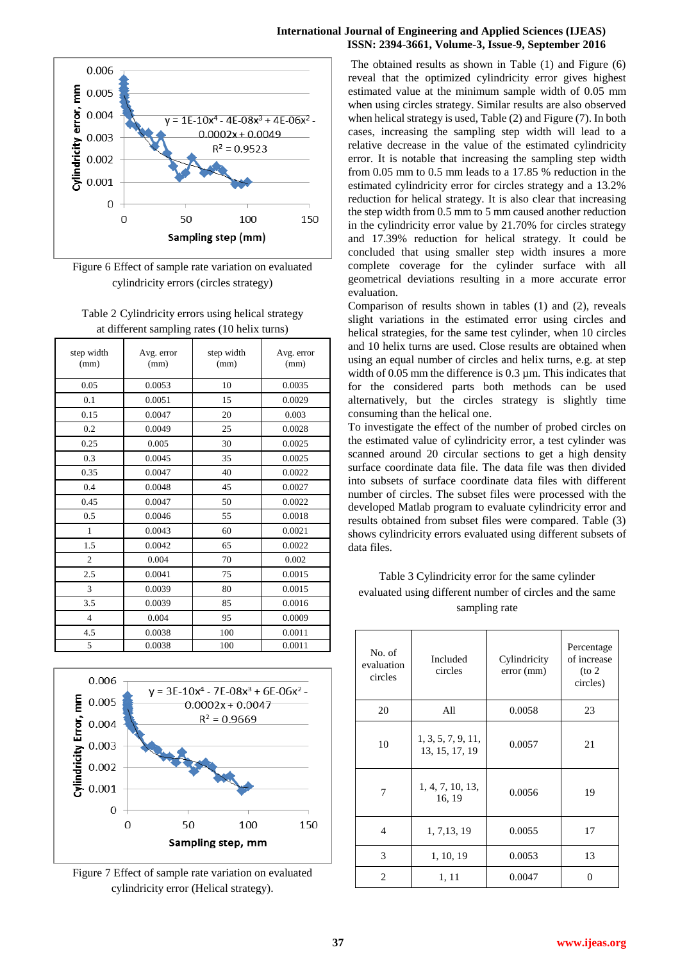



Figure 6 Effect of sample rate variation on evaluated cylindricity errors (circles strategy)

| Table 2 Cylindricity errors using helical strategy |
|----------------------------------------------------|
| at different sampling rates (10 helix turns)       |

| step width<br>(mm) | Avg. error<br>(mm) | step width<br>(mm) | Avg. error<br>(mm) |
|--------------------|--------------------|--------------------|--------------------|
| 0.05               | 0.0053             | 10                 | 0.0035             |
| 0.1                | 0.0051             | 15                 | 0.0029             |
| 0.15               | 0.0047             | 20                 | 0.003              |
| 0.2                | 0.0049             | 25                 | 0.0028             |
| 0.25               | 0.005              | 30                 | 0.0025             |
| 0.3                | 0.0045             | 35                 | 0.0025             |
| 0.35               | 0.0047             | 40                 | 0.0022             |
| 0.4                | 0.0048             | 45                 | 0.0027             |
| 0.45               | 0.0047             | 50                 | 0.0022             |
| 0.5                | 0.0046             | 55                 | 0.0018             |
| $\mathbf{1}$       | 0.0043             | 60                 | 0.0021             |
| 1.5                | 0.0042             | 65                 | 0.0022             |
| $\overline{c}$     | 0.004              | 70                 | 0.002              |
| 2.5                | 0.0041             | 75                 | 0.0015             |
| 3                  | 0.0039             | 80                 | 0.0015             |
| 3.5                | 0.0039             | 85                 | 0.0016             |
| $\overline{4}$     | 0.004              | 95                 | 0.0009             |
| 4.5                | 0.0038             | 100                | 0.0011             |
| 5                  | 0.0038             | 100                | 0.0011             |



Figure 7 Effect of sample rate variation on evaluated cylindricity error (Helical strategy).

The obtained results as shown in Table (1) and Figure (6) reveal that the optimized cylindricity error gives highest estimated value at the minimum sample width of 0.05 mm when using circles strategy. Similar results are also observed when helical strategy is used, Table (2) and Figure (7). In both cases, increasing the sampling step width will lead to a relative decrease in the value of the estimated cylindricity error. It is notable that increasing the sampling step width from 0.05 mm to 0.5 mm leads to a 17.85 % reduction in the estimated cylindricity error for circles strategy and a 13.2% reduction for helical strategy. It is also clear that increasing the step width from 0.5 mm to 5 mm caused another reduction in the cylindricity error value by 21.70% for circles strategy and 17.39% reduction for helical strategy. It could be concluded that using smaller step width insures a more complete coverage for the cylinder surface with all geometrical deviations resulting in a more accurate error evaluation.

Comparison of results shown in tables (1) and (2), reveals slight variations in the estimated error using circles and helical strategies, for the same test cylinder, when 10 circles and 10 helix turns are used. Close results are obtained when using an equal number of circles and helix turns, e.g. at step width of 0.05 mm the difference is 0.3 µm. This indicates that for the considered parts both methods can be used alternatively, but the circles strategy is slightly time consuming than the helical one.

To investigate the effect of the number of probed circles on the estimated value of cylindricity error, a test cylinder was scanned around 20 circular sections to get a high density surface coordinate data file. The data file was then divided into subsets of surface coordinate data files with different number of circles. The subset files were processed with the developed Matlab program to evaluate cylindricity error and results obtained from subset files were compared. Table (3) shows cylindricity errors evaluated using different subsets of data files.

Table 3 Cylindricity error for the same cylinder evaluated using different number of circles and the same sampling rate

| No. of<br>evaluation<br>circles | Included<br>circles                  | Cylindricity<br>error (mm) | Percentage<br>of increase<br>$($ to 2<br>circles) |
|---------------------------------|--------------------------------------|----------------------------|---------------------------------------------------|
| 20                              | All                                  | 0.0058                     | 23                                                |
| 10                              | 1, 3, 5, 7, 9, 11,<br>13, 15, 17, 19 | 0.0057                     | 21                                                |
| 7                               | 1, 4, 7, 10, 13,<br>16, 19           | 0.0056                     | 19                                                |
| 4                               | 1, 7, 13, 19                         | 0.0055                     | 17                                                |
| 3                               | 1, 10, 19                            | 0.0053                     | 13                                                |
| 2                               | 1, 11                                | 0.0047                     | ∩                                                 |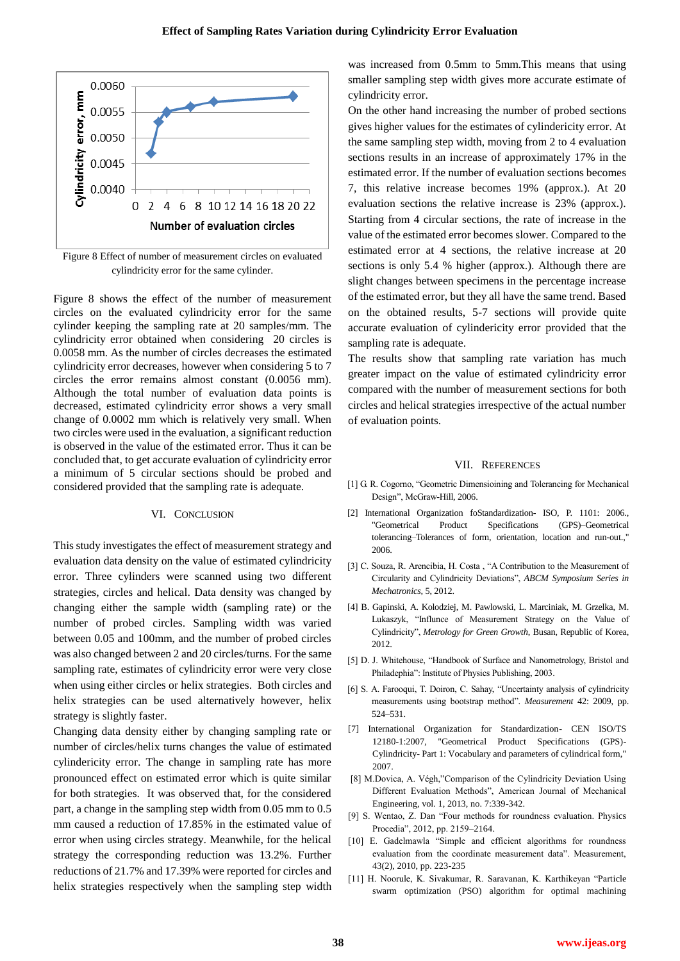

Figure 8 Effect of number of measurement circles on evaluated cylindricity error for the same cylinder.

Figure 8 shows the effect of the number of measurement circles on the evaluated cylindricity error for the same cylinder keeping the sampling rate at 20 samples/mm. The cylindricity error obtained when considering 20 circles is 0.0058 mm. As the number of circles decreases the estimated cylindricity error decreases, however when considering 5 to 7 circles the error remains almost constant (0.0056 mm). Although the total number of evaluation data points is decreased, estimated cylindricity error shows a very small change of 0.0002 mm which is relatively very small. When two circles were used in the evaluation, a significant reduction is observed in the value of the estimated error. Thus it can be concluded that, to get accurate evaluation of cylindricity error a minimum of 5 circular sections should be probed and considered provided that the sampling rate is adequate.

### VI. CONCLUSION

This study investigates the effect of measurement strategy and evaluation data density on the value of estimated cylindricity error. Three cylinders were scanned using two different strategies, circles and helical. Data density was changed by changing either the sample width (sampling rate) or the number of probed circles. Sampling width was varied between 0.05 and 100mm, and the number of probed circles was also changed between 2 and 20 circles/turns. For the same sampling rate, estimates of cylindricity error were very close when using either circles or helix strategies. Both circles and helix strategies can be used alternatively however, helix strategy is slightly faster.

Changing data density either by changing sampling rate or number of circles/helix turns changes the value of estimated cylindericity error. The change in sampling rate has more pronounced effect on estimated error which is quite similar for both strategies. It was observed that, for the considered part, a change in the sampling step width from 0.05 mm to 0.5 mm caused a reduction of 17.85% in the estimated value of error when using circles strategy. Meanwhile, for the helical strategy the corresponding reduction was 13.2%. Further reductions of 21.7% and 17.39% were reported for circles and helix strategies respectively when the sampling step width was increased from 0.5mm to 5mm.This means that using smaller sampling step width gives more accurate estimate of cylindricity error.

On the other hand increasing the number of probed sections gives higher values for the estimates of cylindericity error. At the same sampling step width, moving from 2 to 4 evaluation sections results in an increase of approximately 17% in the estimated error. If the number of evaluation sections becomes 7, this relative increase becomes 19% (approx.). At 20 evaluation sections the relative increase is 23% (approx.). Starting from 4 circular sections, the rate of increase in the value of the estimated error becomes slower. Compared to the estimated error at 4 sections, the relative increase at 20 sections is only 5.4 % higher (approx.). Although there are slight changes between specimens in the percentage increase of the estimated error, but they all have the same trend. Based on the obtained results, 5-7 sections will provide quite accurate evaluation of cylindericity error provided that the sampling rate is adequate.

The results show that sampling rate variation has much greater impact on the value of estimated cylindricity error compared with the number of measurement sections for both circles and helical strategies irrespective of the actual number of evaluation points.

#### VII. REFERENCES

- [1] G. R. Cogorno, "Geometric Dimensioining and Tolerancing for Mechanical Design", McGraw-Hill, 2006.
- [2] International Organization foStandardization- ISO, P. 1101: 2006., "Geometrical Product Specifications (GPS)–Geometrical tolerancing–Tolerances of form, orientation, location and run-out.," 2006.
- [3] C. Souza, R. Arencibia, H. Costa, "A Contribution to the Measurement of Circularity and Cylindricity Deviations", *ABCM Symposium Series in Mechatronics,* 5, 2012.
- [4] B. Gapinski, A. Kolodziej, M. Pawlowski, L. Marciniak, M. Grzelka, M. Lukaszyk, "Influnce of Measurement Strategy on the Value of Cylindricity", *Metrology for Green Growth*, Busan, Republic of Korea, 2012.
- [5] D. J. Whitehouse, "Handbook of Surface and Nanometrology, Bristol and Philadephia": Institute of Physics Publishing, 2003.
- [6] S. A. Farooqui, T. Doiron, C. Sahay, "Uncertainty analysis of cylindricity measurements using bootstrap method". *Measurement* 42: 2009, pp. 524–531.
- [7] International Organization for Standardization- CEN ISO/TS 12180-1:2007, "Geometrical Product Specifications (GPS)- Cylindricity- Part 1: Vocabulary and parameters of cylindrical form," 2007.
- [8] M.Dovica, A. Végh,"Comparison of the Cylindricity Deviation Using Different Evaluation Methods", American Journal of Mechanical Engineering, vol. 1, 2013, no. 7:339-342.
- [9] S. Wentao, Z. Dan "Four methods for roundness evaluation. Physics Procedia‖, 2012, pp. 2159–2164.
- [10] E. Gadelmawla "Simple and efficient algorithms for roundness evaluation from the coordinate measurement data". Measurement, 43(2), 2010, pp. 223-235
- [11] H. Noorule, K. Sivakumar, R. Saravanan, K. Karthikeyan "Particle swarm optimization (PSO) algorithm for optimal machining